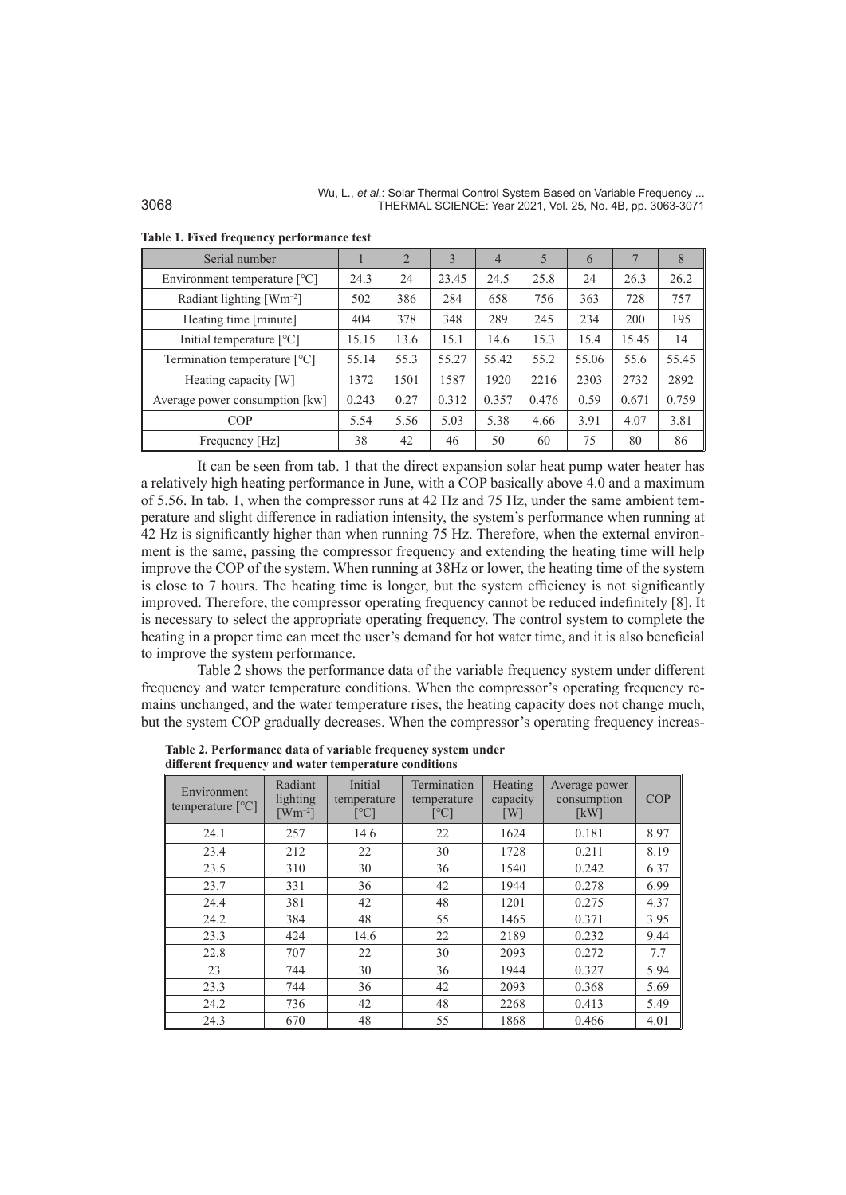Wu, L., *et al.*: Solar Thermal Control System Based on Variable Frequency ... 3068 THERMAL SCIENCE: Year 2021, Vol. 25, No. 4B, pp. 3063-3071

| Serial number                  |       | $\overline{2}$ | 3     | 4     | 5     | 6     |       | 8     |
|--------------------------------|-------|----------------|-------|-------|-------|-------|-------|-------|
| Environment temperature $[°C]$ | 24.3  | 24             | 23.45 | 24.5  | 25.8  | 24    | 26.3  | 26.2  |
| Radiant lighting $[Wm^{-2}]$   | 502   | 386            | 284   | 658   | 756   | 363   | 728   | 757   |
| Heating time [minute]          | 404   | 378            | 348   | 289   | 245   | 234   | 200   | 195   |
| Initial temperature [°C]       | 15.15 | 13.6           | 15.1  | 14.6  | 15.3  | 15.4  | 15.45 | 14    |
| Termination temperature [°C]   | 55.14 | 55.3           | 55.27 | 55.42 | 55.2  | 55.06 | 55.6  | 55.45 |
| Heating capacity [W]           | 1372  | 1501           | 1587  | 1920  | 2216  | 2303  | 2732  | 2892  |
| Average power consumption [kw] | 0.243 | 0.27           | 0.312 | 0.357 | 0.476 | 0.59  | 0.671 | 0.759 |
| COP                            | 5.54  | 5.56           | 5.03  | 5.38  | 4.66  | 3.91  | 4.07  | 3.81  |
| Frequency [Hz]                 | 38    | 42             | 46    | 50    | 60    | 75    | 80    | 86    |

**Table 1. Fixed frequency performance test**

It can be seen from tab. 1 that the direct expansion solar heat pump water heater has a relatively high heating performance in June, with a COP basically above 4.0 and a maximum of 5.56. In tab. 1, when the compressor runs at 42 Hz and 75 Hz, under the same ambient temperature and slight difference in radiation intensity, the system's performance when running at 42 Hz is significantly higher than when running 75 Hz. Therefore, when the external environment is the same, passing the compressor frequency and extending the heating time will help improve the COP of the system. When running at 38Hz or lower, the heating time of the system is close to 7 hours. The heating time is longer, but the system efficiency is not significantly improved. Therefore, the compressor operating frequency cannot be reduced indefinitely [8]. It is necessary to select the appropriate operating frequency. The control system to complete the heating in a proper time can meet the user's demand for hot water time, and it is also beneficial to improve the system performance.

Table 2 shows the performance data of the variable frequency system under different frequency and water temperature conditions. When the compressor's operating frequency remains unchanged, and the water temperature rises, the heating capacity does not change much, but the system COP gradually decreases. When the compressor's operating frequency increas-

**Table 2. Performance data of variable frequency system under different frequency and water temperature conditions**

| Environment<br>temperature $[^{\circ}C]$ | Radiant<br>lighting<br>$\lceil Wm^{-2} \rceil$ | Initial<br>temperature<br>[°C] | Termination<br>temperature<br>[°C] | Heating<br>capacity<br>$\lceil W \rceil$ | Average power<br>consumption<br>[kW] | <b>COP</b> |
|------------------------------------------|------------------------------------------------|--------------------------------|------------------------------------|------------------------------------------|--------------------------------------|------------|
| 24.1                                     | 257                                            | 14.6                           | 22                                 | 1624                                     | 0.181                                | 8.97       |
| 23.4                                     | 212                                            | 22                             | 30                                 | 1728                                     | 0.211                                | 8.19       |
| 23.5                                     | 310                                            | 30                             | 36                                 | 1540                                     | 0.242                                | 6.37       |
| 23.7                                     | 331                                            | 36                             | 42                                 | 1944                                     | 0.278                                | 6.99       |
| 24.4                                     | 381                                            | 42                             | 48                                 | 1201                                     | 0.275                                | 4.37       |
| 24.2                                     | 384                                            | 48                             | 55                                 | 1465                                     | 0.371                                | 3.95       |
| 23.3                                     | 424                                            | 14.6                           | 22                                 | 2189                                     | 0.232                                | 9.44       |
| 22.8                                     | 707                                            | 22                             | 30                                 | 2093                                     | 0.272                                | 7.7        |
| 23                                       | 744                                            | 30                             | 36                                 | 1944                                     | 0.327                                | 5.94       |
| 23.3                                     | 744                                            | 36                             | 42                                 | 2093                                     | 0.368                                | 5.69       |
| 24.2                                     | 736                                            | 42                             | 48                                 | 2268                                     | 0.413                                | 5.49       |
| 24.3                                     | 670                                            | 48                             | 55                                 | 1868                                     | 0.466                                | 4.01       |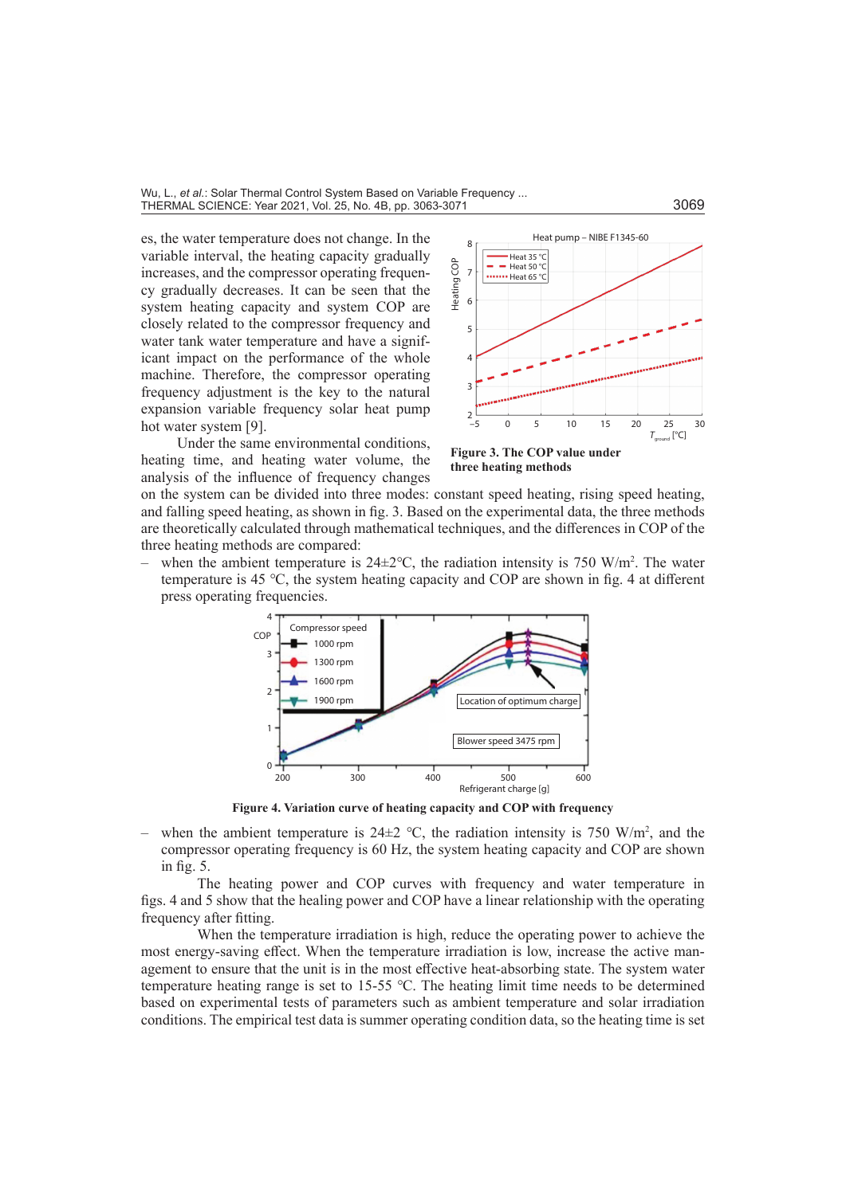es, the water temperature does not change. In the variable interval, the heating capacity gradually increases, and the compressor operating frequency gradually decreases. It can be seen that the system heating capacity and system COP are closely related to the compressor frequency and water tank water temperature and have a significant impact on the performance of the whole machine. Therefore, the compressor operating frequency adjustment is the key to the natural expansion variable frequency solar heat pump hot water system [9].



Under the same environmental conditions, heating time, and heating water volume, the analysis of the influence of frequency changes

**Figure 3. The COP value under three heating methods**

on the system can be divided into three modes: constant speed heating, rising speed heating, and falling speed heating, as shown in fig. 3. Based on the experimental data, the three methods are theoretically calculated through mathematical techniques, and the differences in COP of the three heating methods are compared:

– when the ambient temperature is  $24\pm2^{\circ}\text{C}$ , the radiation intensity is 750 W/m<sup>2</sup>. The water temperature is 45 ℃, the system heating capacity and COP are shown in fig. 4 at different press operating frequencies.



**Figure 4. Variation curve of heating capacity and COP with frequency**

– when the ambient temperature is  $24\pm 2$  °C, the radiation intensity is 750 W/m<sup>2</sup>, and the compressor operating frequency is 60 Hz, the system heating capacity and COP are shown in fig. 5.

The heating power and COP curves with frequency and water temperature in figs. 4 and 5 show that the healing power and COP have a linear relationship with the operating frequency after fitting.

When the temperature irradiation is high, reduce the operating power to achieve the most energy-saving effect. When the temperature irradiation is low, increase the active management to ensure that the unit is in the most effective heat-absorbing state. The system water temperature heating range is set to 15-55 ℃. The heating limit time needs to be determined based on experimental tests of parameters such as ambient temperature and solar irradiation conditions. The empirical test data is summer operating condition data, so the heating time is set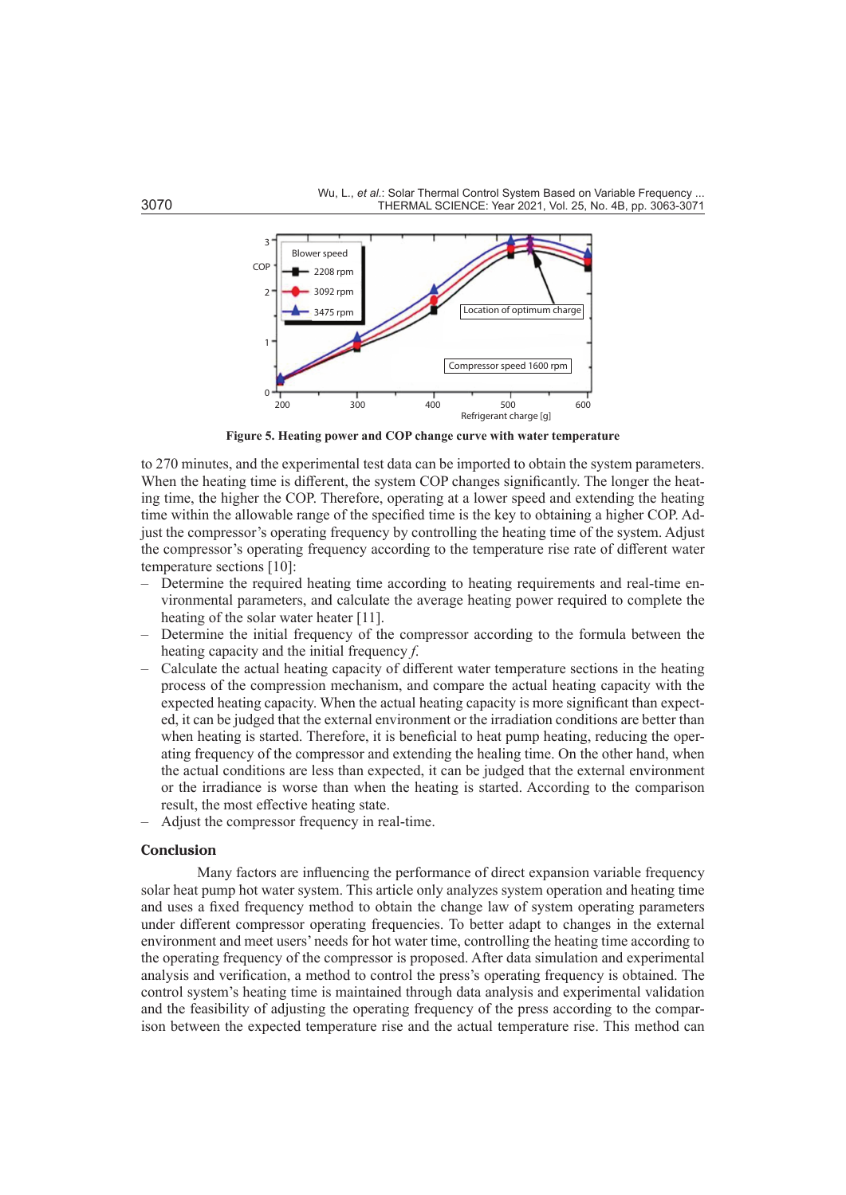

**Figure 5. Heating power and COP change curve with water temperature**

to 270 minutes, and the experimental test data can be imported to obtain the system parameters. When the heating time is different, the system COP changes significantly. The longer the heating time, the higher the COP. Therefore, operating at a lower speed and extending the heating time within the allowable range of the specified time is the key to obtaining a higher COP. Adjust the compressor's operating frequency by controlling the heating time of the system. Adjust the compressor's operating frequency according to the temperature rise rate of different water temperature sections [10]:

- Determine the required heating time according to heating requirements and real-time environmental parameters, and calculate the average heating power required to complete the heating of the solar water heater [11].
- Determine the initial frequency of the compressor according to the formula between the heating capacity and the initial frequency *f*.
- Calculate the actual heating capacity of different water temperature sections in the heating process of the compression mechanism, and compare the actual heating capacity with the expected heating capacity. When the actual heating capacity is more significant than expected, it can be judged that the external environment or the irradiation conditions are better than when heating is started. Therefore, it is beneficial to heat pump heating, reducing the operating frequency of the compressor and extending the healing time. On the other hand, when the actual conditions are less than expected, it can be judged that the external environment or the irradiance is worse than when the heating is started. According to the comparison result, the most effective heating state.
- Adjust the compressor frequency in real-time.

## **Conclusion**

Many factors are influencing the performance of direct expansion variable frequency solar heat pump hot water system. This article only analyzes system operation and heating time and uses a fixed frequency method to obtain the change law of system operating parameters under different compressor operating frequencies. To better adapt to changes in the external environment and meet users' needs for hot water time, controlling the heating time according to the operating frequency of the compressor is proposed. After data simulation and experimental analysis and verification, a method to control the press's operating frequency is obtained. The control system's heating time is maintained through data analysis and experimental validation and the feasibility of adjusting the operating frequency of the press according to the comparison between the expected temperature rise and the actual temperature rise. This method can